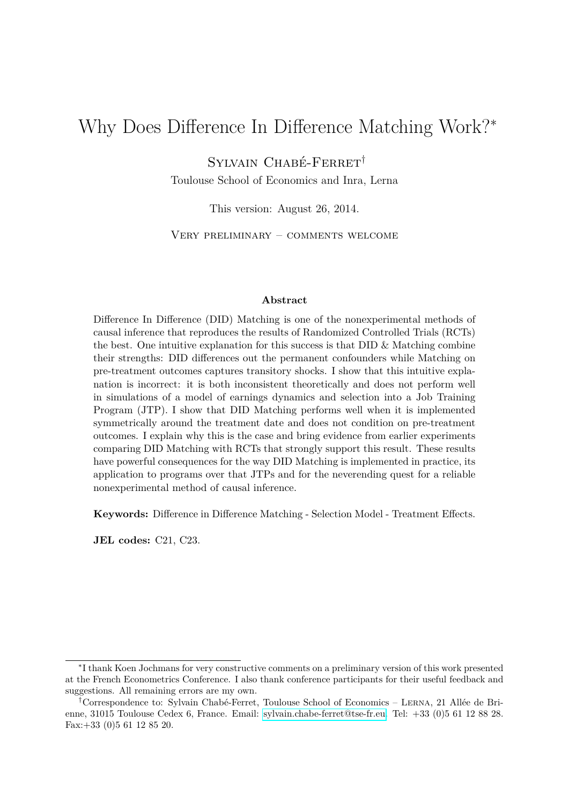# Why Does Difference In Difference Matching Work?<sup>∗</sup>

Sylvain Chabé-Ferret†

Toulouse School of Economics and Inra, Lerna

This version: August 26, 2014.

Very preliminary – comments welcome

#### **Abstract**

Difference In Difference (DID) Matching is one of the nonexperimental methods of causal inference that reproduces the results of Randomized Controlled Trials (RCTs) the best. One intuitive explanation for this success is that DID  $\&$  Matching combine their strengths: DID differences out the permanent confounders while Matching on pre-treatment outcomes captures transitory shocks. I show that this intuitive explanation is incorrect: it is both inconsistent theoretically and does not perform well in simulations of a model of earnings dynamics and selection into a Job Training Program (JTP). I show that DID Matching performs well when it is implemented symmetrically around the treatment date and does not condition on pre-treatment outcomes. I explain why this is the case and bring evidence from earlier experiments comparing DID Matching with RCTs that strongly support this result. These results have powerful consequences for the way DID Matching is implemented in practice, its application to programs over that JTPs and for the neverending quest for a reliable nonexperimental method of causal inference.

**Keywords:** Difference in Difference Matching - Selection Model - Treatment Effects.

**JEL codes:** C21, C23.

<sup>∗</sup> I thank Koen Jochmans for very constructive comments on a preliminary version of this work presented at the French Econometrics Conference. I also thank conference participants for their useful feedback and suggestions. All remaining errors are my own.

<sup>†</sup>Correspondence to: Sylvain Chabé-Ferret, Toulouse School of Economics – Lerna, 21 Allée de Brienne, 31015 Toulouse Cedex 6, France. Email: [sylvain.chabe-ferret@tse-fr.eu.](mailto:sylvain.chabe-ferret@tse-fr.eu) Tel: +33 (0)5 61 12 88 28. Fax:+33 (0)5 61 12 85 20.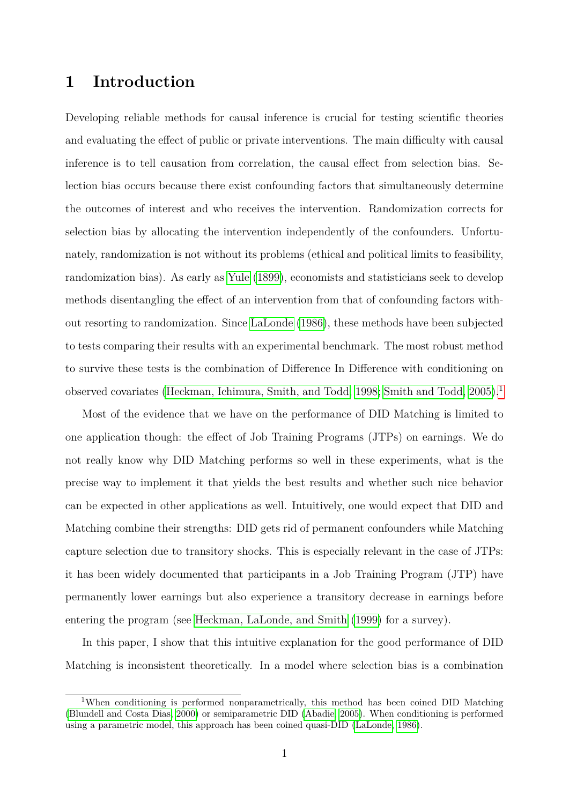## **1 Introduction**

Developing reliable methods for causal inference is crucial for testing scientific theories and evaluating the effect of public or private interventions. The main difficulty with causal inference is to tell causation from correlation, the causal effect from selection bias. Selection bias occurs because there exist confounding factors that simultaneously determine the outcomes of interest and who receives the intervention. Randomization corrects for selection bias by allocating the intervention independently of the confounders. Unfortunately, randomization is not without its problems (ethical and political limits to feasibility, randomization bias). As early as [Yule](#page-18-0) [\(1899\)](#page-18-0), economists and statisticians seek to develop methods disentangling the effect of an intervention from that of confounding factors without resorting to randomization. Since [LaLonde](#page-18-1) [\(1986\)](#page-18-1), these methods have been subjected to tests comparing their results with an experimental benchmark. The most robust method to survive these tests is the combination of Difference In Difference with conditioning on observed covariates [\(Heckman, Ichimura, Smith, and Todd, 1998;](#page-17-0) [Smith and Todd, 2005\)](#page-18-2).<sup>[1](#page-1-0)</sup>

Most of the evidence that we have on the performance of DID Matching is limited to one application though: the effect of Job Training Programs (JTPs) on earnings. We do not really know why DID Matching performs so well in these experiments, what is the precise way to implement it that yields the best results and whether such nice behavior can be expected in other applications as well. Intuitively, one would expect that DID and Matching combine their strengths: DID gets rid of permanent confounders while Matching capture selection due to transitory shocks. This is especially relevant in the case of JTPs: it has been widely documented that participants in a Job Training Program (JTP) have permanently lower earnings but also experience a transitory decrease in earnings before entering the program (see [Heckman, LaLonde, and Smith](#page-17-1) [\(1999\)](#page-17-1) for a survey).

In this paper, I show that this intuitive explanation for the good performance of DID Matching is inconsistent theoretically. In a model where selection bias is a combination

<span id="page-1-0"></span><sup>&</sup>lt;sup>1</sup>When conditioning is performed nonparametrically, this method has been coined DID Matching [\(Blundell and Costa Dias, 2000\)](#page-17-2) or semiparametric DID [\(Abadie, 2005\)](#page-17-3). When conditioning is performed using a parametric model, this approach has been coined quasi-DID [\(LaLonde, 1986\)](#page-18-1).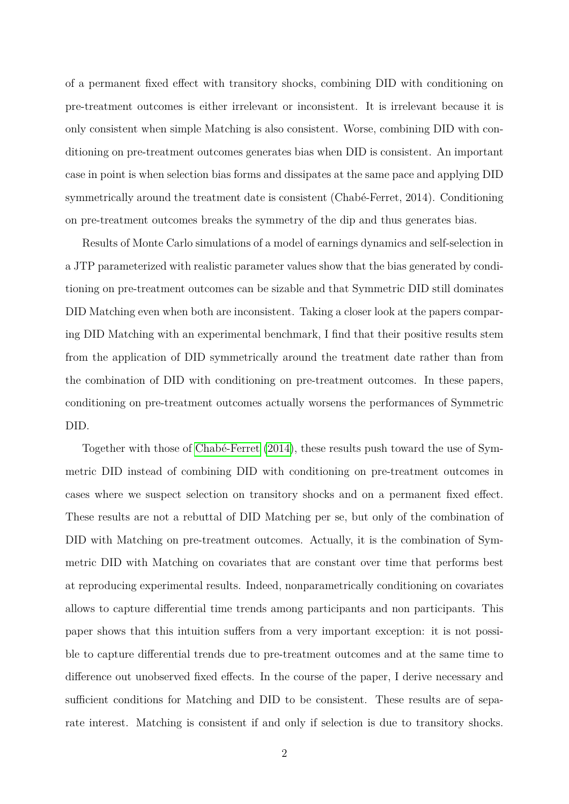of a permanent fixed effect with transitory shocks, combining DID with conditioning on pre-treatment outcomes is either irrelevant or inconsistent. It is irrelevant because it is only consistent when simple Matching is also consistent. Worse, combining DID with conditioning on pre-treatment outcomes generates bias when DID is consistent. An important case in point is when selection bias forms and dissipates at the same pace and applying DID symmetrically around the treatment date is consistent (Chabé-Ferret, 2014). Conditioning on pre-treatment outcomes breaks the symmetry of the dip and thus generates bias.

Results of Monte Carlo simulations of a model of earnings dynamics and self-selection in a JTP parameterized with realistic parameter values show that the bias generated by conditioning on pre-treatment outcomes can be sizable and that Symmetric DID still dominates DID Matching even when both are inconsistent. Taking a closer look at the papers comparing DID Matching with an experimental benchmark, I find that their positive results stem from the application of DID symmetrically around the treatment date rather than from the combination of DID with conditioning on pre-treatment outcomes. In these papers, conditioning on pre-treatment outcomes actually worsens the performances of Symmetric DID.

Together with those of [Chabé-Ferret](#page-17-4) [\(2014\)](#page-17-4), these results push toward the use of Symmetric DID instead of combining DID with conditioning on pre-treatment outcomes in cases where we suspect selection on transitory shocks and on a permanent fixed effect. These results are not a rebuttal of DID Matching per se, but only of the combination of DID with Matching on pre-treatment outcomes. Actually, it is the combination of Symmetric DID with Matching on covariates that are constant over time that performs best at reproducing experimental results. Indeed, nonparametrically conditioning on covariates allows to capture differential time trends among participants and non participants. This paper shows that this intuition suffers from a very important exception: it is not possible to capture differential trends due to pre-treatment outcomes and at the same time to difference out unobserved fixed effects. In the course of the paper, I derive necessary and sufficient conditions for Matching and DID to be consistent. These results are of separate interest. Matching is consistent if and only if selection is due to transitory shocks.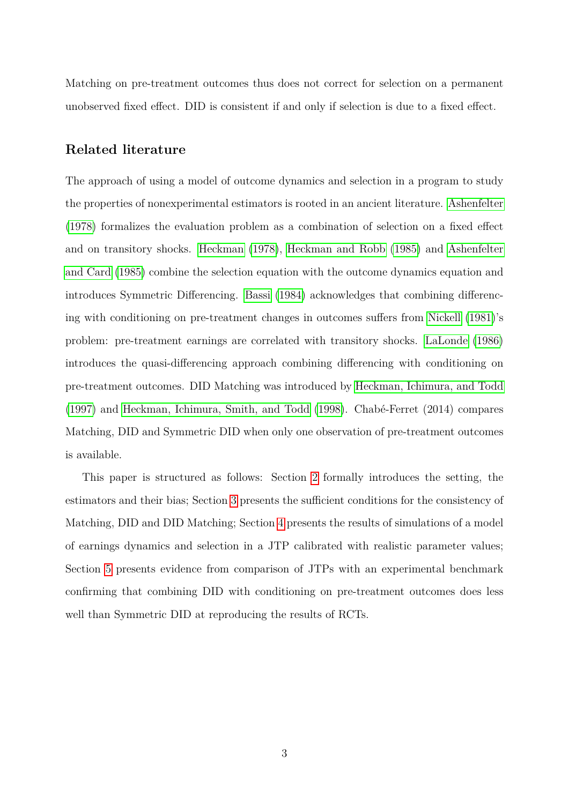Matching on pre-treatment outcomes thus does not correct for selection on a permanent unobserved fixed effect. DID is consistent if and only if selection is due to a fixed effect.

### **Related literature**

The approach of using a model of outcome dynamics and selection in a program to study the properties of nonexperimental estimators is rooted in an ancient literature. [Ashenfelter](#page-17-5) [\(1978\)](#page-17-5) formalizes the evaluation problem as a combination of selection on a fixed effect and on transitory shocks. [Heckman](#page-17-6) [\(1978\)](#page-17-6), [Heckman and Robb](#page-18-3) [\(1985\)](#page-18-3) and [Ashenfelter](#page-17-7) [and Card](#page-17-7) [\(1985\)](#page-17-7) combine the selection equation with the outcome dynamics equation and introduces Symmetric Differencing. [Bassi](#page-17-8) [\(1984\)](#page-17-8) acknowledges that combining differencing with conditioning on pre-treatment changes in outcomes suffers from [Nickell](#page-18-4) [\(1981\)](#page-18-4)'s problem: pre-treatment earnings are correlated with transitory shocks. [LaLonde](#page-18-1) [\(1986\)](#page-18-1) introduces the quasi-differencing approach combining differencing with conditioning on pre-treatment outcomes. DID Matching was introduced by [Heckman, Ichimura, and Todd](#page-17-9) [\(1997\)](#page-17-9) and [Heckman, Ichimura, Smith, and Todd](#page-17-0) [\(1998\)](#page-17-0). Chabé-Ferret (2014) compares Matching, DID and Symmetric DID when only one observation of pre-treatment outcomes is available.

This paper is structured as follows: Section [2](#page-4-0) formally introduces the setting, the estimators and their bias; Section [3](#page-7-0) presents the sufficient conditions for the consistency of Matching, DID and DID Matching; Section [4](#page-12-0) presents the results of simulations of a model of earnings dynamics and selection in a JTP calibrated with realistic parameter values; Section [5](#page-13-0) presents evidence from comparison of JTPs with an experimental benchmark confirming that combining DID with conditioning on pre-treatment outcomes does less well than Symmetric DID at reproducing the results of RCTs.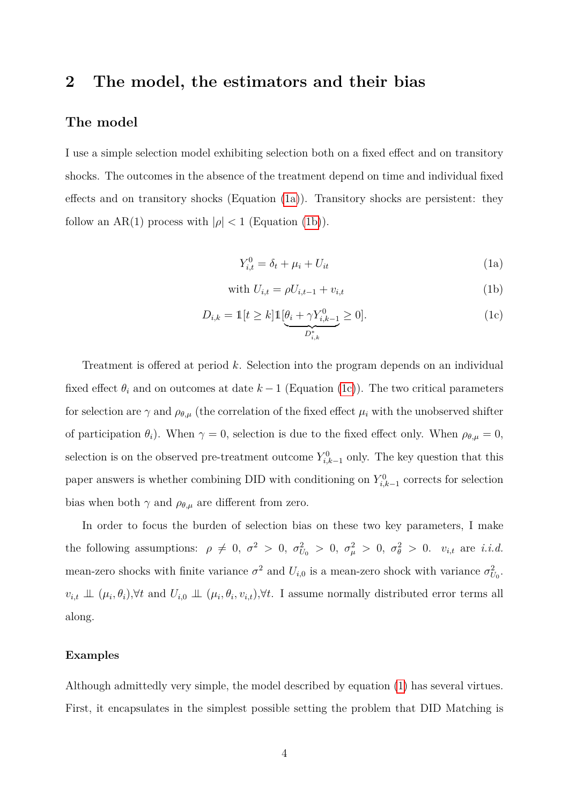## <span id="page-4-0"></span>**2 The model, the estimators and their bias**

### **The model**

I use a simple selection model exhibiting selection both on a fixed effect and on transitory shocks. The outcomes in the absence of the treatment depend on time and individual fixed effects and on transitory shocks (Equation [\(1a\)](#page-4-1)). Transitory shocks are persistent: they follow an AR(1) process with  $|\rho| < 1$  (Equation [\(1b\)](#page-4-2)).

<span id="page-4-4"></span><span id="page-4-3"></span><span id="page-4-2"></span><span id="page-4-1"></span>
$$
Y_{i,t}^0 = \delta_t + \mu_i + U_{it} \tag{1a}
$$

with 
$$
U_{i,t} = \rho U_{i,t-1} + v_{i,t}
$$
 (1b)

$$
D_{i,k} = \mathbb{1}[t \ge k] \mathbb{1}[\underbrace{\theta_i + \gamma Y_{i,k-1}^0}_{D_{i,k}^*} \ge 0].
$$
\n(1c)

Treatment is offered at period *k*. Selection into the program depends on an individual fixed effect  $\theta_i$  and on outcomes at date  $k-1$  (Equation [\(1c\)](#page-4-3)). The two critical parameters for selection are  $\gamma$  and  $\rho_{\theta,\mu}$  (the correlation of the fixed effect  $\mu_i$  with the unobserved shifter of participation  $\theta_i$ ). When  $\gamma = 0$ , selection is due to the fixed effect only. When  $\rho_{\theta,\mu} = 0$ , selection is on the observed pre-treatment outcome  $Y_{i,k-1}^0$  only. The key question that this paper answers is whether combining DID with conditioning on  $Y_{i,k-1}^0$  corrects for selection bias when both  $\gamma$  and  $\rho_{\theta,\mu}$  are different from zero.

In order to focus the burden of selection bias on these two key parameters, I make the following assumptions:  $\rho \neq 0$ ,  $\sigma^2 > 0$ ,  $\sigma_{U_0}^2 > 0$ ,  $\sigma_{\mu}^2 > 0$ ,  $\sigma_{\theta}^2 > 0$ .  $v_{i,t}$  are *i.i.d.* mean-zero shocks with finite variance  $\sigma^2$  and  $U_{i,0}$  is a mean-zero shock with variance  $\sigma_{U_0}^2$ .  $v_{i,t} \perp\!\!\!\perp (\mu_i, \theta_i), \forall t$  and  $U_{i,0} \perp\!\!\!\perp (\mu_i, \theta_i, v_{i,t}), \forall t$ . I assume normally distributed error terms all along.

#### **Examples**

Although admittedly very simple, the model described by equation [\(1\)](#page-4-4) has several virtues. First, it encapsulates in the simplest possible setting the problem that DID Matching is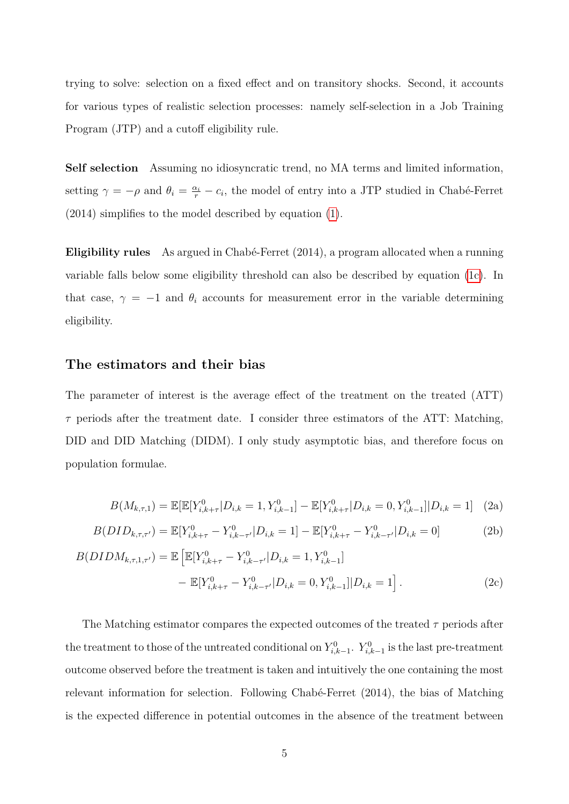trying to solve: selection on a fixed effect and on transitory shocks. Second, it accounts for various types of realistic selection processes: namely self-selection in a Job Training Program (JTP) and a cutoff eligibility rule.

**Self selection** Assuming no idiosyncratic trend, no MA terms and limited information, setting  $\gamma = -\rho$  and  $\theta_i = \frac{\alpha_i}{r} - c_i$ , the model of entry into a JTP studied in Chabé-Ferret (2014) simplifies to the model described by equation [\(1\)](#page-4-4).

**Eligibility rules** As argued in Chabé-Ferret (2014), a program allocated when a running variable falls below some eligibility threshold can also be described by equation [\(1c\)](#page-4-3). In that case,  $\gamma = -1$  and  $\theta_i$  accounts for measurement error in the variable determining eligibility.

### **The estimators and their bias**

The parameter of interest is the average effect of the treatment on the treated (ATT)  $\tau$  periods after the treatment date. I consider three estimators of the ATT: Matching, DID and DID Matching (DIDM). I only study asymptotic bias, and therefore focus on population formulae.

<span id="page-5-2"></span><span id="page-5-1"></span><span id="page-5-0"></span>
$$
B(M_{k,\tau,1}) = \mathbb{E}[\mathbb{E}[Y_{i,k+\tau}^0 | D_{i,k} = 1, Y_{i,k-1}^0] - \mathbb{E}[Y_{i,k+\tau}^0 | D_{i,k} = 0, Y_{i,k-1}^0] | D_{i,k} = 1] \tag{2a}
$$

$$
B(DID_{k,\tau,\tau'}) = \mathbb{E}[Y_{i,k+\tau}^0 - Y_{i,k-\tau'}^0 | D_{i,k} = 1] - \mathbb{E}[Y_{i,k+\tau}^0 - Y_{i,k-\tau'}^0 | D_{i,k} = 0]
$$
(2b)

$$
B(DIDM_{k,\tau,1,\tau'}) = \mathbb{E}\left[\mathbb{E}[Y_{i,k+\tau}^0 - Y_{i,k-\tau'}^0 | D_{i,k} = 1, Y_{i,k-1}^0] - \mathbb{E}[Y_{i,k+\tau}^0 - Y_{i,k-\tau'}^0 | D_{i,k} = 0, Y_{i,k-1}^0] | D_{i,k} = 1\right].
$$
\n(2c)

The Matching estimator compares the expected outcomes of the treated *τ* periods after the treatment to those of the untreated conditional on  $Y_{i,k-1}^0$ .  $Y_{i,k-1}^0$  is the last pre-treatment outcome observed before the treatment is taken and intuitively the one containing the most relevant information for selection. Following Chabé-Ferret (2014), the bias of Matching is the expected difference in potential outcomes in the absence of the treatment between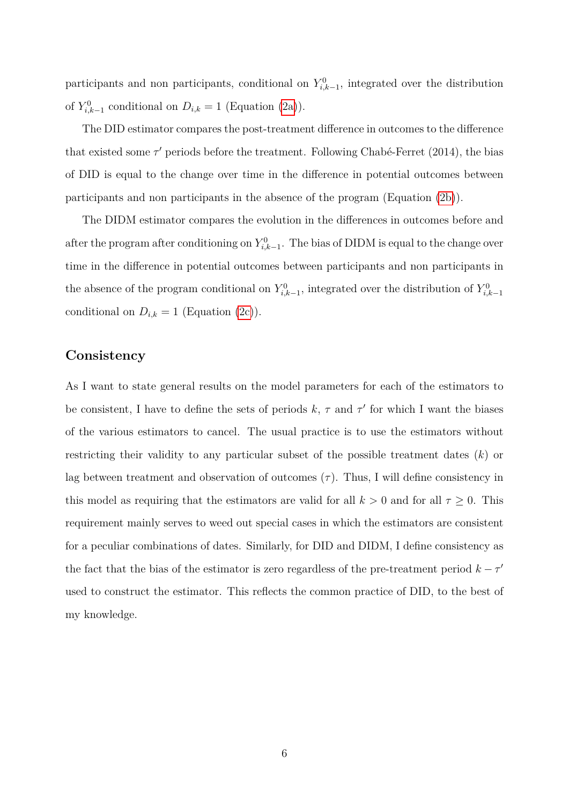participants and non participants, conditional on  $Y_{i,k-1}^0$ , integrated over the distribution of  $Y_{i,k-1}^0$  conditional on  $D_{i,k} = 1$  (Equation [\(2a\)](#page-5-0)).

The DID estimator compares the post-treatment difference in outcomes to the difference that existed some  $\tau'$  periods before the treatment. Following Chabé-Ferret (2014), the bias of DID is equal to the change over time in the difference in potential outcomes between participants and non participants in the absence of the program (Equation [\(2b\)](#page-5-1)).

The DIDM estimator compares the evolution in the differences in outcomes before and after the program after conditioning on  $Y_{i,k-1}^0$ . The bias of DIDM is equal to the change over time in the difference in potential outcomes between participants and non participants in the absence of the program conditional on  $Y_{i,k-1}^0$ , integrated over the distribution of  $Y_{i,k-1}^0$ conditional on  $D_{i,k} = 1$  (Equation [\(2c\)](#page-5-2)).

### **Consistency**

As I want to state general results on the model parameters for each of the estimators to be consistent, I have to define the sets of periods  $k, \tau$  and  $\tau'$  for which I want the biases of the various estimators to cancel. The usual practice is to use the estimators without restricting their validity to any particular subset of the possible treatment dates (*k*) or lag between treatment and observation of outcomes  $(\tau)$ . Thus, I will define consistency in this model as requiring that the estimators are valid for all  $k > 0$  and for all  $\tau \geq 0$ . This requirement mainly serves to weed out special cases in which the estimators are consistent for a peculiar combinations of dates. Similarly, for DID and DIDM, I define consistency as the fact that the bias of the estimator is zero regardless of the pre-treatment period  $k - \tau'$ used to construct the estimator. This reflects the common practice of DID, to the best of my knowledge.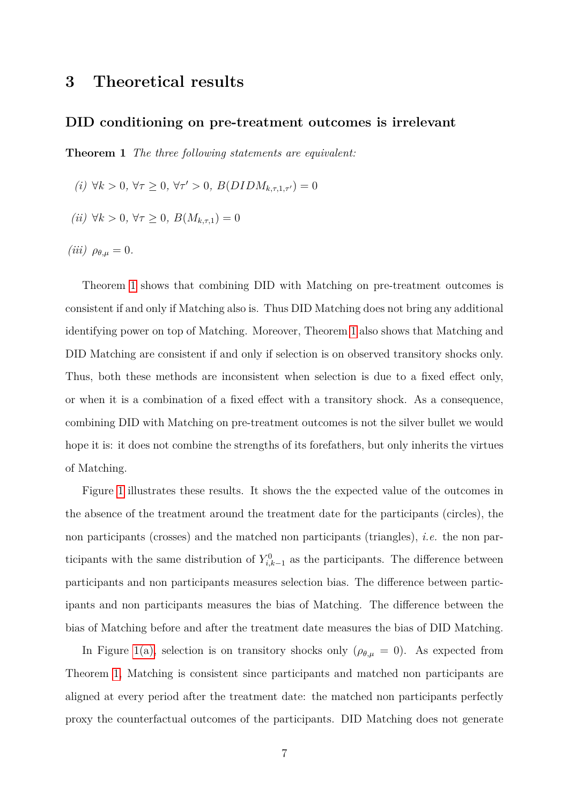## <span id="page-7-0"></span>**3 Theoretical results**

#### **DID conditioning on pre-treatment outcomes is irrelevant**

<span id="page-7-1"></span>**Theorem 1** *The three following statements are equivalent:*

- *(i)*  $\forall k > 0, \forall \tau \geq 0, \forall \tau' > 0, B(DIDM_{k,\tau,1,\tau'}) = 0$
- *(ii)*  $\forall k > 0, \forall \tau \geq 0, B(M_{k, \tau, 1}) = 0$
- *(iii)*  $\rho_{\theta,\mu} = 0$ .

Theorem [1](#page-7-1) shows that combining DID with Matching on pre-treatment outcomes is consistent if and only if Matching also is. Thus DID Matching does not bring any additional identifying power on top of Matching. Moreover, Theorem [1](#page-7-1) also shows that Matching and DID Matching are consistent if and only if selection is on observed transitory shocks only. Thus, both these methods are inconsistent when selection is due to a fixed effect only, or when it is a combination of a fixed effect with a transitory shock. As a consequence, combining DID with Matching on pre-treatment outcomes is not the silver bullet we would hope it is: it does not combine the strengths of its forefathers, but only inherits the virtues of Matching.

Figure [1](#page-8-0) illustrates these results. It shows the the expected value of the outcomes in the absence of the treatment around the treatment date for the participants (circles), the non participants (crosses) and the matched non participants (triangles), *i.e.* the non participants with the same distribution of  $Y_{i,k-1}^0$  as the participants. The difference between participants and non participants measures selection bias. The difference between participants and non participants measures the bias of Matching. The difference between the bias of Matching before and after the treatment date measures the bias of DID Matching.

In Figure [1\(a\),](#page-8-1) selection is on transitory shocks only  $(\rho_{\theta,\mu} = 0)$ . As expected from Theorem [1,](#page-7-1) Matching is consistent since participants and matched non participants are aligned at every period after the treatment date: the matched non participants perfectly proxy the counterfactual outcomes of the participants. DID Matching does not generate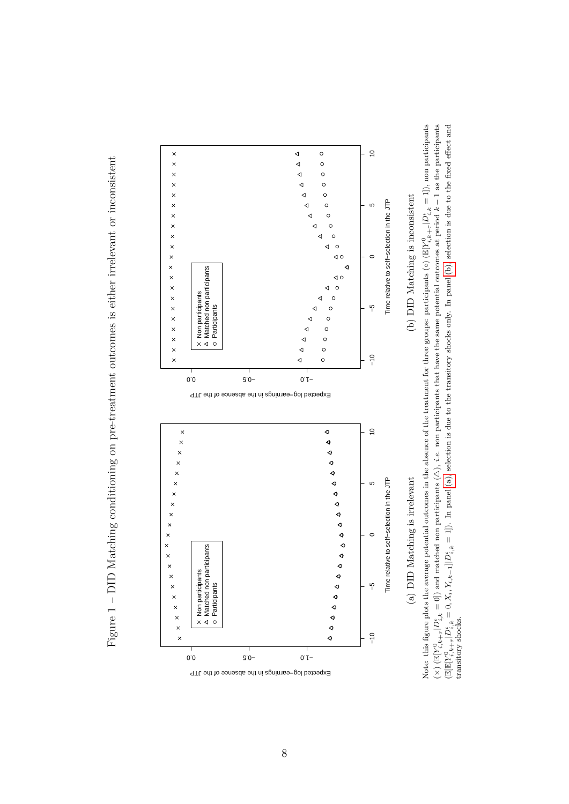<span id="page-8-1"></span><span id="page-8-0"></span>Figure 1 - DID Matching conditioning on pre-treatment outcomes is either irrelevant or inconsistent Figure 1 – DID Matching conditioning on pre-treatment outcomes is either irrelevant or inconsistent



<span id="page-8-2"></span>Note: this figure plots the average potential outcomes in the absence of the treatment for three groups: participants (◦) (I  $\mathbb{E}[Y_{i,k}^0$ +*τ*  $|D_{i,k}^{\iota}=1]$ ), non participants  $\frac{1}{x}$  $\mathbb{E}[Y_{i,k}^0$ +*τ*  $|D^i_{i,k} = 0|$ ) and matched non participants (2) 4), *i.e.* non participants that have the same potential outcomes at period *k* − 1 as the participants  $(\mathbb{E}[\mathbb{E}[Y]^0_{i,k})$ +*τ*  $D_{i,k}^{\prime} = 0, X_i, Y_{i,k-1} | D_{i,k}^{\prime} = 1]$ . In panel [\(a\),](#page-8-1) selection is due to the transitory shocks only. In panel [\(b\),](#page-8-2) selection is due to the fixed effect and transitory shocks.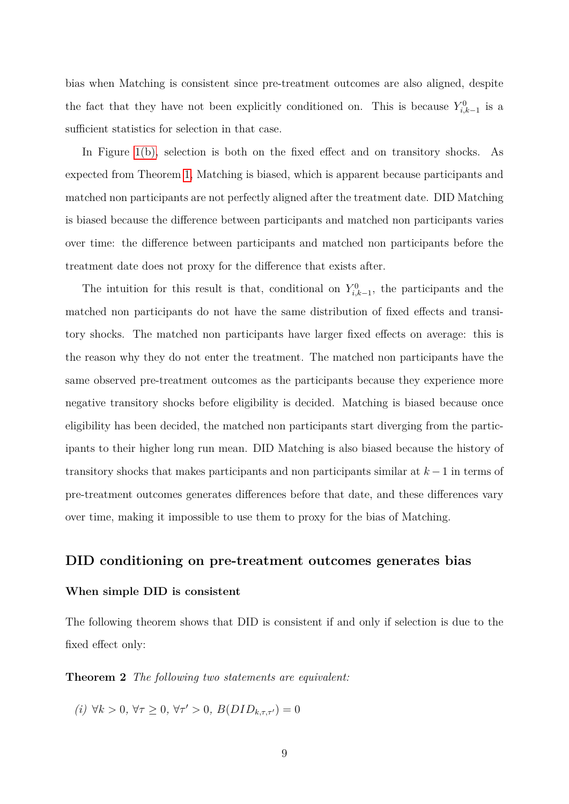bias when Matching is consistent since pre-treatment outcomes are also aligned, despite the fact that they have not been explicitly conditioned on. This is because  $Y_{i,k-1}^0$  is a sufficient statistics for selection in that case.

In Figure [1\(b\),](#page-8-2) selection is both on the fixed effect and on transitory shocks. As expected from Theorem [1,](#page-7-1) Matching is biased, which is apparent because participants and matched non participants are not perfectly aligned after the treatment date. DID Matching is biased because the difference between participants and matched non participants varies over time: the difference between participants and matched non participants before the treatment date does not proxy for the difference that exists after.

The intuition for this result is that, conditional on  $Y_{i,k-1}^0$ , the participants and the matched non participants do not have the same distribution of fixed effects and transitory shocks. The matched non participants have larger fixed effects on average: this is the reason why they do not enter the treatment. The matched non participants have the same observed pre-treatment outcomes as the participants because they experience more negative transitory shocks before eligibility is decided. Matching is biased because once eligibility has been decided, the matched non participants start diverging from the participants to their higher long run mean. DID Matching is also biased because the history of transitory shocks that makes participants and non participants similar at *k* −1 in terms of pre-treatment outcomes generates differences before that date, and these differences vary over time, making it impossible to use them to proxy for the bias of Matching.

#### **DID conditioning on pre-treatment outcomes generates bias**

#### **When simple DID is consistent**

<span id="page-9-0"></span>The following theorem shows that DID is consistent if and only if selection is due to the fixed effect only:

**Theorem 2** *The following two statements are equivalent:*

*(i)* ∀*k* > 0*,* ∀*τ* ≥ 0*,* ∀*τ'* > 0*, B*(*DID*<sub>*k,τ*,*τ'*</sub>) = 0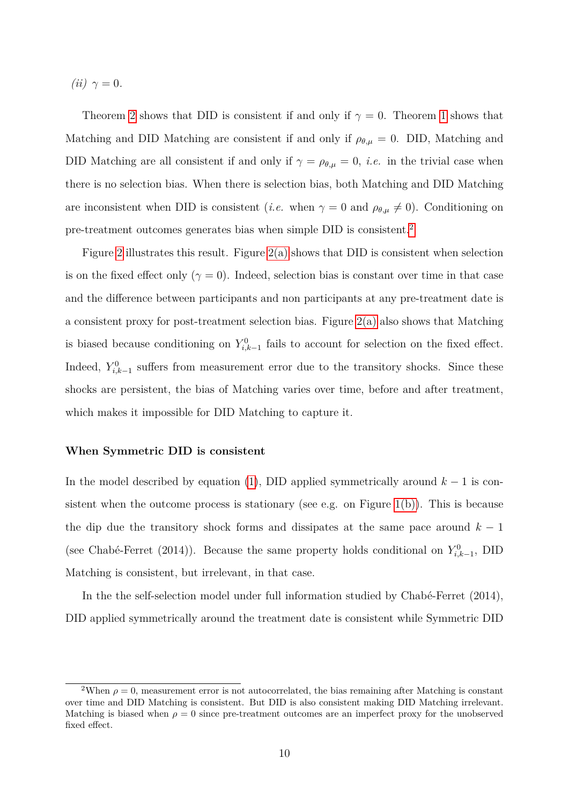$(iii)$   $\gamma = 0$ *.* 

Theorem [2](#page-9-0) shows that DID is consistent if and only if  $\gamma = 0$ . Theorem [1](#page-7-1) shows that Matching and DID Matching are consistent if and only if  $\rho_{\theta,\mu} = 0$ . DID, Matching and DID Matching are all consistent if and only if  $\gamma = \rho_{\theta,\mu} = 0$ , *i.e.* in the trivial case when there is no selection bias. When there is selection bias, both Matching and DID Matching are inconsistent when DID is consistent (*i.e.* when  $\gamma = 0$  and  $\rho_{\theta,\mu} \neq 0$ ). Conditioning on pre-treatment outcomes generates bias when simple DID is consistent.[2](#page-10-0)

Figure [2](#page-11-0) illustrates this result. Figure [2\(a\)](#page-11-1) shows that DID is consistent when selection is on the fixed effect only  $(\gamma = 0)$ . Indeed, selection bias is constant over time in that case and the difference between participants and non participants at any pre-treatment date is a consistent proxy for post-treatment selection bias. Figure [2\(a\)](#page-11-1) also shows that Matching is biased because conditioning on  $Y_{i,k-1}^0$  fails to account for selection on the fixed effect. Indeed,  $Y_{i,k-1}^0$  suffers from measurement error due to the transitory shocks. Since these shocks are persistent, the bias of Matching varies over time, before and after treatment, which makes it impossible for DID Matching to capture it.

#### **When Symmetric DID is consistent**

In the model described by equation [\(1\)](#page-4-4), DID applied symmetrically around  $k-1$  is con-sistent when the outcome process is stationary (see e.g. on Figure [1\(b\)\)](#page-8-2). This is because the dip due the transitory shock forms and dissipates at the same pace around  $k - 1$ (see Chabé-Ferret (2014)). Because the same property holds conditional on  $Y_{i,k-1}^0$ , DID Matching is consistent, but irrelevant, in that case.

In the the self-selection model under full information studied by Chabé-Ferret (2014), DID applied symmetrically around the treatment date is consistent while Symmetric DID

<span id="page-10-0"></span><sup>&</sup>lt;sup>2</sup>When  $\rho = 0$ , measurement error is not autocorrelated, the bias remaining after Matching is constant over time and DID Matching is consistent. But DID is also consistent making DID Matching irrelevant. Matching is biased when  $\rho = 0$  since pre-treatment outcomes are an imperfect proxy for the unobserved fixed effect.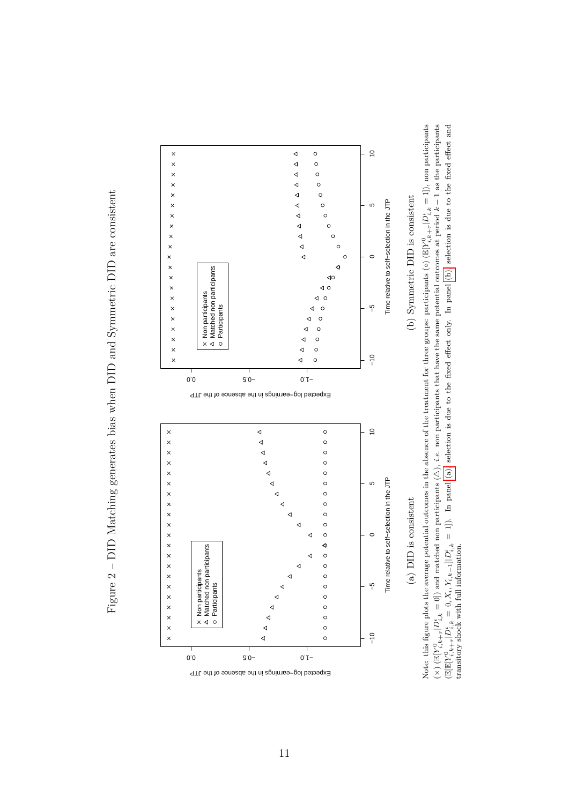<span id="page-11-1"></span>Figure 2 – DID Matching generates bias when DID and Symmetric DID are consistent Figure 2 – DID Matching generates bias when DID and Symmetric DID are consistent

<span id="page-11-0"></span>

<span id="page-11-2"></span>Note: this figure plots the average potential outcomes in the absence of the treatment for three groups: participants (◦) (I  $\mathbb{E}[Y_{i,k}^0$ +*τ*  $|D_{i,k}^{\iota}=1]$ ), non participants  $\frac{1}{x}$  $\mathbb{E}[Y_{i,k}^0$ +*τ*  $|D^i_{i,k} = 0|$ ) and matched non participants (2) 4), *i.e.* non participants that have the same potential outcomes at period *k* − 1 as the participants  $(\mathbb{E}[\mathbb{E}[Y]^0_{i,k})$ +*τ*  $D_{i,k}^{\ell} = 0, X_i, Y_{i,k-1} | D_{i,k}^{\ell} = 1]$ . In panel [\(a\),](#page-11-1) selection is due to the fixed effect only. In panel [\(b\),](#page-11-2) selection is due to the fixed effect and transitory shock with full information.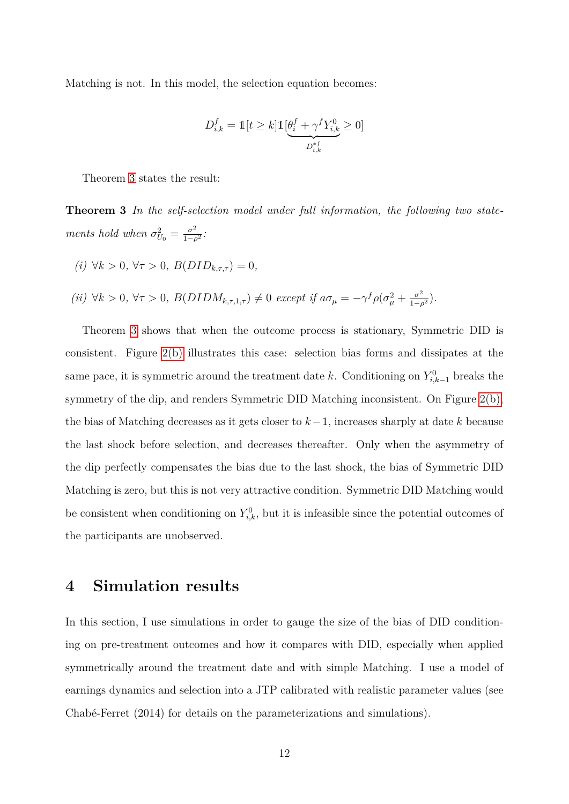Matching is not. In this model, the selection equation becomes:

<span id="page-12-1"></span>
$$
D_{i,k}^f = \mathbb{1}[t \ge k] \mathbb{1}[\underbrace{\theta_i^f + \gamma^f Y_{i,k}^0}_{D_{i,k}^{*f}} \ge 0]
$$

Theorem [3](#page-12-1) states the result:

**Theorem 3** *In the self-selection model under full information, the following two statements hold when*  $\sigma_{U_0}^2 = \frac{\sigma^2}{1-\rho^2}$  $\frac{\sigma^2}{1-\rho^2}$ :

- *(i)* ∀*k >* 0*,* ∀*τ >* 0*, B*(*DIDk,τ,τ* ) = 0*,*
- $(iii) \forall k > 0, \forall \tau > 0, B(DIDM_{k,\tau,1,\tau}) \neq 0 \text{ except if } a\sigma_{\mu} = -\gamma^f \rho(\sigma_{\mu}^2 + \frac{\sigma^2}{1-\mu})$  $\frac{\sigma^2}{1-\rho^2}$ ).

Theorem [3](#page-12-1) shows that when the outcome process is stationary, Symmetric DID is consistent. Figure [2\(b\)](#page-11-2) illustrates this case: selection bias forms and dissipates at the same pace, it is symmetric around the treatment date *k*. Conditioning on  $Y_{i,k-1}^0$  breaks the symmetry of the dip, and renders Symmetric DID Matching inconsistent. On Figure [2\(b\),](#page-11-2) the bias of Matching decreases as it gets closer to *k*−1, increases sharply at date *k* because the last shock before selection, and decreases thereafter. Only when the asymmetry of the dip perfectly compensates the bias due to the last shock, the bias of Symmetric DID Matching is zero, but this is not very attractive condition. Symmetric DID Matching would be consistent when conditioning on  $Y_{i,k}^0$ , but it is infeasible since the potential outcomes of the participants are unobserved.

## <span id="page-12-0"></span>**4 Simulation results**

In this section, I use simulations in order to gauge the size of the bias of DID conditioning on pre-treatment outcomes and how it compares with DID, especially when applied symmetrically around the treatment date and with simple Matching. I use a model of earnings dynamics and selection into a JTP calibrated with realistic parameter values (see Chabé-Ferret (2014) for details on the parameterizations and simulations).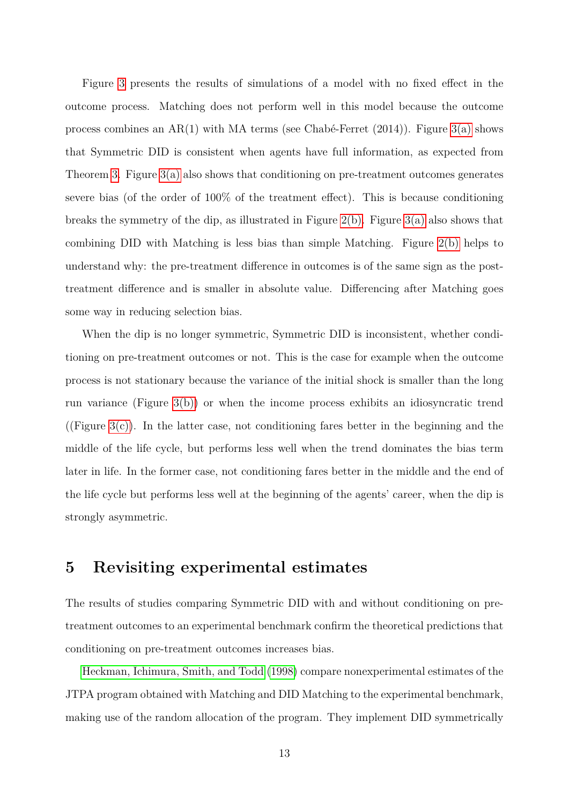Figure [3](#page-14-0) presents the results of simulations of a model with no fixed effect in the outcome process. Matching does not perform well in this model because the outcome process combines an AR(1) with MA terms (see Chabé-Ferret  $(2014)$ ). Figure [3\(a\)](#page-14-1) shows that Symmetric DID is consistent when agents have full information, as expected from Theorem [3.](#page-12-1) Figure  $3(a)$  also shows that conditioning on pre-treatment outcomes generates severe bias (of the order of 100% of the treatment effect). This is because conditioning breaks the symmetry of the dip, as illustrated in Figure [2\(b\).](#page-11-2) Figure [3\(a\)](#page-14-1) also shows that combining DID with Matching is less bias than simple Matching. Figure [2\(b\)](#page-11-2) helps to understand why: the pre-treatment difference in outcomes is of the same sign as the posttreatment difference and is smaller in absolute value. Differencing after Matching goes some way in reducing selection bias.

When the dip is no longer symmetric, Symmetric DID is inconsistent, whether conditioning on pre-treatment outcomes or not. This is the case for example when the outcome process is not stationary because the variance of the initial shock is smaller than the long run variance (Figure [3\(b\)\)](#page-14-2) or when the income process exhibits an idiosyncratic trend ((Figure [3\(c\)\)](#page-14-3). In the latter case, not conditioning fares better in the beginning and the middle of the life cycle, but performs less well when the trend dominates the bias term later in life. In the former case, not conditioning fares better in the middle and the end of the life cycle but performs less well at the beginning of the agents' career, when the dip is strongly asymmetric.

## <span id="page-13-0"></span>**5 Revisiting experimental estimates**

The results of studies comparing Symmetric DID with and without conditioning on pretreatment outcomes to an experimental benchmark confirm the theoretical predictions that conditioning on pre-treatment outcomes increases bias.

[Heckman, Ichimura, Smith, and Todd](#page-17-0) [\(1998\)](#page-17-0) compare nonexperimental estimates of the JTPA program obtained with Matching and DID Matching to the experimental benchmark, making use of the random allocation of the program. They implement DID symmetrically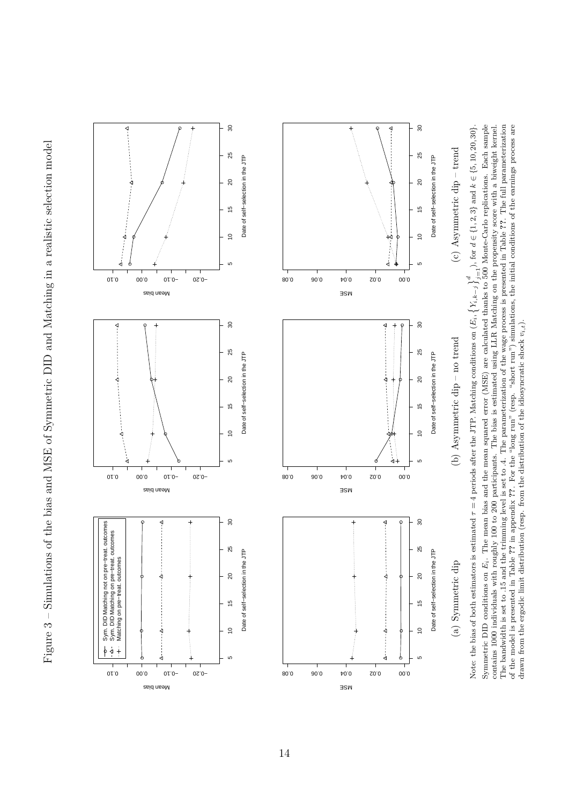<span id="page-14-3"></span><span id="page-14-2"></span><span id="page-14-1"></span><span id="page-14-0"></span>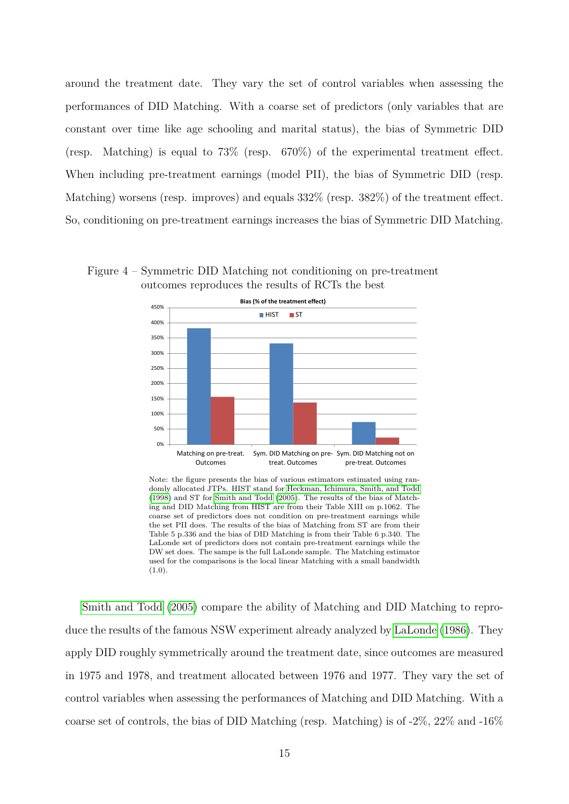around the treatment date. They vary the set of control variables when assessing the performances of DID Matching. With a coarse set of predictors (only variables that are constant over time like age schooling and marital status), the bias of Symmetric DID (resp. Matching) is equal to  $73\%$  (resp.  $670\%$ ) of the experimental treatment effect. When including pre-treatment earnings (model PII), the bias of Symmetric DID (resp. Matching) worsens (resp. improves) and equals 332% (resp. 382%) of the treatment effect. So, conditioning on pre-treatment earnings increases the bias of Symmetric DID Matching.

Figure 4 – Symmetric DID Matching not conditioning on pre-treatment outcomes reproduces the results of RCTs the best



Note: the figure presents the bias of various estimators estimated using randomly allocated JTPs. HIST stand for [Heckman, Ichimura, Smith, and Todd](#page-17-0) [\(1998\)](#page-17-0) and ST for [Smith and Todd](#page-18-2) [\(2005\)](#page-18-2). The results of the bias of Matching and DID Matching from HIST are from their Table XIII on p.1062. The coarse set of predictors does not condition on pre-treatment earnings while the set PII does. The results of the bias of Matching from ST are from their Table 5 p.336 and the bias of DID Matching is from their Table 6 p.340. The LaLonde set of predictors does not contain pre-treatment earnings while the DW set does. The sampe is the full LaLonde sample. The Matching estimator used for the comparisons is the local linear Matching with a small bandwidth  $(1.0).$ 

[Smith and Todd](#page-18-2) [\(2005\)](#page-18-2) compare the ability of Matching and DID Matching to reproduce the results of the famous NSW experiment already analyzed by [LaLonde](#page-18-1) [\(1986\)](#page-18-1). They apply DID roughly symmetrically around the treatment date, since outcomes are measured in 1975 and 1978, and treatment allocated between 1976 and 1977. They vary the set of control variables when assessing the performances of Matching and DID Matching. With a coarse set of controls, the bias of DID Matching (resp. Matching) is of  $-2\%$ ,  $22\%$  and  $-16\%$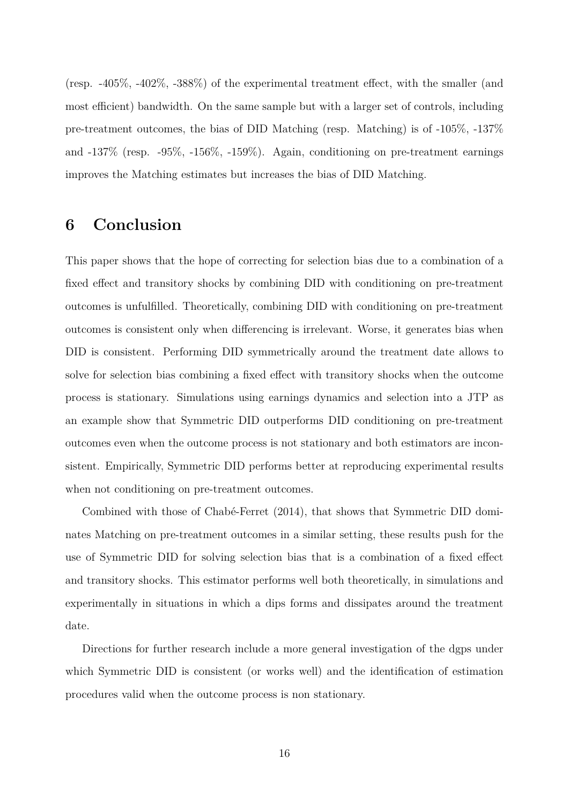(resp. -405%, -402%, -388%) of the experimental treatment effect, with the smaller (and most efficient) bandwidth. On the same sample but with a larger set of controls, including pre-treatment outcomes, the bias of DID Matching (resp. Matching) is of -105%, -137% and -137% (resp. -95%, -156%, -159%). Again, conditioning on pre-treatment earnings improves the Matching estimates but increases the bias of DID Matching.

## **6 Conclusion**

This paper shows that the hope of correcting for selection bias due to a combination of a fixed effect and transitory shocks by combining DID with conditioning on pre-treatment outcomes is unfulfilled. Theoretically, combining DID with conditioning on pre-treatment outcomes is consistent only when differencing is irrelevant. Worse, it generates bias when DID is consistent. Performing DID symmetrically around the treatment date allows to solve for selection bias combining a fixed effect with transitory shocks when the outcome process is stationary. Simulations using earnings dynamics and selection into a JTP as an example show that Symmetric DID outperforms DID conditioning on pre-treatment outcomes even when the outcome process is not stationary and both estimators are inconsistent. Empirically, Symmetric DID performs better at reproducing experimental results when not conditioning on pre-treatment outcomes.

Combined with those of Chabé-Ferret (2014), that shows that Symmetric DID dominates Matching on pre-treatment outcomes in a similar setting, these results push for the use of Symmetric DID for solving selection bias that is a combination of a fixed effect and transitory shocks. This estimator performs well both theoretically, in simulations and experimentally in situations in which a dips forms and dissipates around the treatment date.

Directions for further research include a more general investigation of the dgps under which Symmetric DID is consistent (or works well) and the identification of estimation procedures valid when the outcome process is non stationary.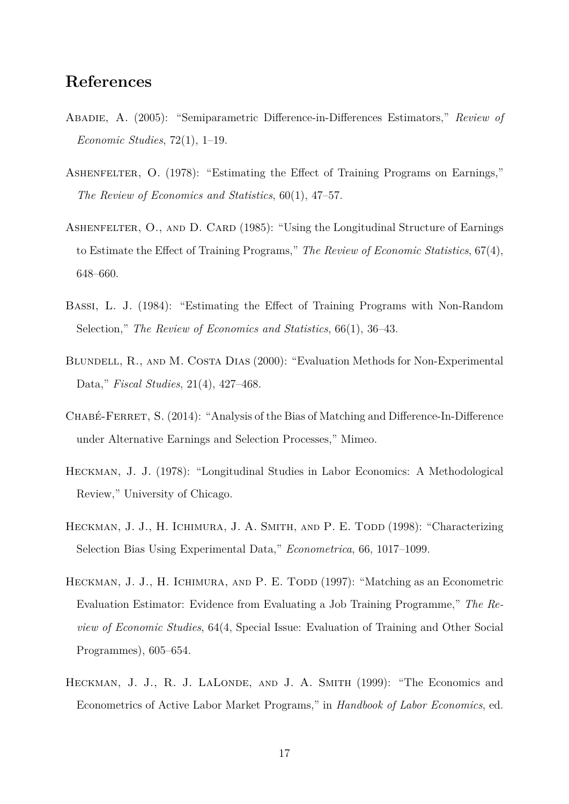## **References**

- <span id="page-17-3"></span>Abadie, A. (2005): "Semiparametric Difference-in-Differences Estimators," *Review of Economic Studies*, 72(1), 1–19.
- <span id="page-17-5"></span>ASHENFELTER, O. (1978): "Estimating the Effect of Training Programs on Earnings," *The Review of Economics and Statistics*, 60(1), 47–57.
- <span id="page-17-7"></span>ASHENFELTER, O., AND D. CARD (1985): "Using the Longitudinal Structure of Earnings to Estimate the Effect of Training Programs," *The Review of Economic Statistics*, 67(4), 648–660.
- <span id="page-17-8"></span>Bassi, L. J. (1984): "Estimating the Effect of Training Programs with Non-Random Selection," *The Review of Economics and Statistics*, 66(1), 36–43.
- <span id="page-17-2"></span>BLUNDELL, R., AND M. COSTA DIAS (2000): "Evaluation Methods for Non-Experimental Data," *Fiscal Studies*, 21(4), 427–468.
- <span id="page-17-4"></span>CHABÉ-FERRET, S. (2014): "Analysis of the Bias of Matching and Difference-In-Difference under Alternative Earnings and Selection Processes," Mimeo.
- <span id="page-17-6"></span>Heckman, J. J. (1978): "Longitudinal Studies in Labor Economics: A Methodological Review," University of Chicago.
- <span id="page-17-0"></span>HECKMAN, J. J., H. ICHIMURA, J. A. SMITH, AND P. E. TODD (1998): "Characterizing Selection Bias Using Experimental Data," *Econometrica*, 66, 1017–1099.
- <span id="page-17-9"></span>HECKMAN, J. J., H. ICHIMURA, AND P. E. TODD (1997): "Matching as an Econometric Evaluation Estimator: Evidence from Evaluating a Job Training Programme," *The Review of Economic Studies*, 64(4, Special Issue: Evaluation of Training and Other Social Programmes), 605–654.
- <span id="page-17-1"></span>HECKMAN, J. J., R. J. LALONDE, AND J. A. SMITH (1999): "The Economics and Econometrics of Active Labor Market Programs," in *Handbook of Labor Economics*, ed.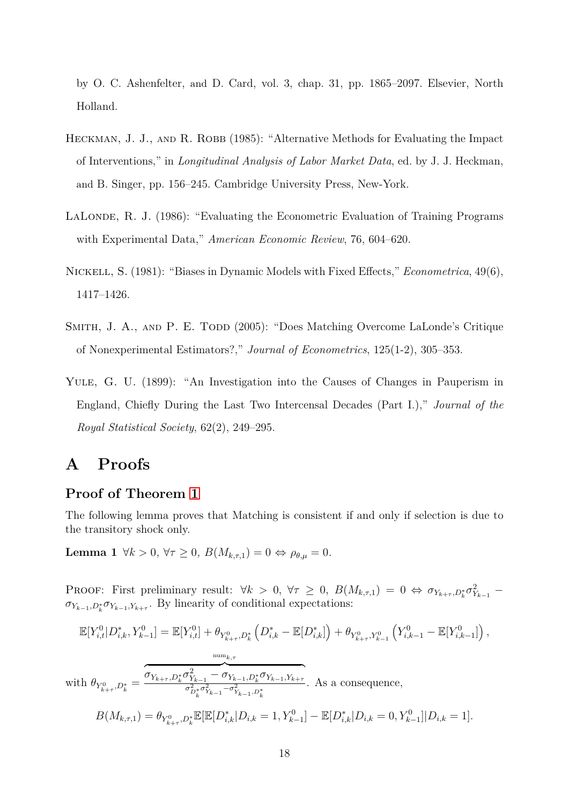by O. C. Ashenfelter, and D. Card, vol. 3, chap. 31, pp. 1865–2097. Elsevier, North Holland.

- <span id="page-18-3"></span>HECKMAN, J. J., AND R. ROBB (1985): "Alternative Methods for Evaluating the Impact of Interventions," in *Longitudinal Analysis of Labor Market Data*, ed. by J. J. Heckman, and B. Singer, pp. 156–245. Cambridge University Press, New-York.
- <span id="page-18-1"></span>LALONDE, R. J. (1986): "Evaluating the Econometric Evaluation of Training Programs with Experimental Data," *American Economic Review*, 76, 604–620.
- <span id="page-18-4"></span>Nickell, S. (1981): "Biases in Dynamic Models with Fixed Effects," *Econometrica*, 49(6), 1417–1426.
- <span id="page-18-2"></span>SMITH, J. A., AND P. E. TODD (2005): "Does Matching Overcome LaLonde's Critique of Nonexperimental Estimators?," *Journal of Econometrics*, 125(1-2), 305–353.
- <span id="page-18-0"></span>YULE, G. U. (1899): "An Investigation into the Causes of Changes in Pauperism in England, Chiefly During the Last Two Intercensal Decades (Part I.)," *Journal of the Royal Statistical Society*, 62(2), 249–295.

# **A Proofs**

### **Proof of Theorem [1](#page-7-1)**

<span id="page-18-5"></span>The following lemma proves that Matching is consistent if and only if selection is due to the transitory shock only.

**Lemma 1**  $\forall k > 0, \forall \tau \geq 0, B(M_{k,\tau,1}) = 0 \Leftrightarrow \rho_{\theta,\mu} = 0.$ 

PROOF: First preliminary result:  $\forall k > 0, \forall \tau \geq 0, B(M_{k,\tau,1}) = 0 \Leftrightarrow \sigma_{Y_{k+\tau},D_k^*} \sigma_{Y_{k-1}}^2$  $\sigma_{Y_{k-1},D_k^*} \sigma_{Y_{k-1},Y_{k+\tau}}$ . By linearity of conditional expectations:

$$
\mathbb{E}[Y_{i,t}^{0}|D_{i,k}^{*},Y_{k-1}^{0}] = \mathbb{E}[Y_{i,t}^{0}] + \theta_{Y_{k+\tau}^{0},D_{k}^{*}}\left(D_{i,k}^{*} - \mathbb{E}[D_{i,k}^{*}]\right) + \theta_{Y_{k+\tau}^{0},Y_{k-1}^{0}}\left(Y_{i,k-1}^{0} - \mathbb{E}[Y_{i,k-1}^{0}]\right),
$$
  
\nwith 
$$
\theta_{Y_{k+\tau}^{0},D_{k}^{*}} = \underbrace{\overbrace{\sigma_{Y_{k+\tau},D_{k}^{*}}\sigma_{Y_{k-1}}^{2} - \sigma_{Y_{k-1},D_{k}^{*}}^{2}\sigma_{Y_{k-1},Y_{k+\tau}}^{2}}.
$$
 As a consequence,  
\n
$$
B(M_{k,\tau,1}) = \theta_{Y_{k+\tau}^{0},D_{k}^{*}}\mathbb{E}[\mathbb{E}[D_{i,k}^{*}|D_{i,k} = 1, Y_{k-1}^{0}] - \mathbb{E}[D_{i,k}^{*}|D_{i,k} = 0, Y_{k-1}^{0}]|D_{i,k} = 1].
$$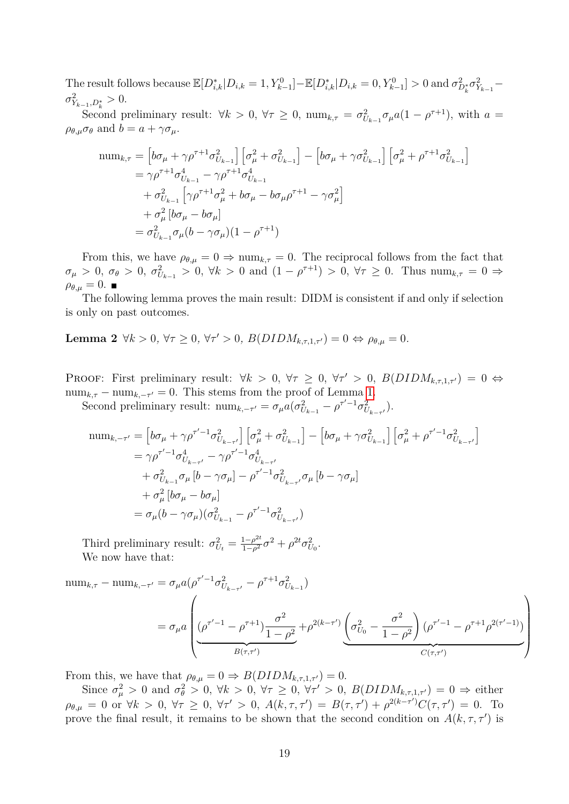The result follows because  $\mathbb{E}[D_{i,k}^* | D_{i,k} = 1, Y_{k-1}^0] - \mathbb{E}[D_{i,k}^* | D_{i,k} = 0, Y_{k-1}^0] > 0$  and  $\sigma_{D_k^*}^2 \sigma_{Y_{k-1}}^2$  $\sigma_{Y_{k-1},D_k^*}^2 > 0.$ 

Second preliminary result:  $\forall k > 0, \forall \tau \geq 0, \text{ num}_{k,\tau} = \sigma_{U_{k-1}}^2 \sigma_\mu a (1 - \rho^{\tau+1}), \text{ with } a =$  $\rho_{\theta,\mu}\sigma_{\theta}$  and  $b=a+\gamma\sigma_{\mu}$ .

$$
\begin{split} \text{num}_{k,\tau} &= \left[ b\sigma_{\mu} + \gamma \rho^{\tau+1} \sigma_{U_{k-1}}^{2} \right] \left[ \sigma_{\mu}^{2} + \sigma_{U_{k-1}}^{2} \right] - \left[ b\sigma_{\mu} + \gamma \sigma_{U_{k-1}}^{2} \right] \left[ \sigma_{\mu}^{2} + \rho^{\tau+1} \sigma_{U_{k-1}}^{2} \right] \\ &= \gamma \rho^{\tau+1} \sigma_{U_{k-1}}^{4} - \gamma \rho^{\tau+1} \sigma_{U_{k-1}}^{4} \\ &+ \sigma_{U_{k-1}}^{2} \left[ \gamma \rho^{\tau+1} \sigma_{\mu}^{2} + b\sigma_{\mu} - b\sigma_{\mu} \rho^{\tau+1} - \gamma \sigma_{\mu}^{2} \right] \\ &+ \sigma_{\mu}^{2} \left[ b\sigma_{\mu} - b\sigma_{\mu} \right] \\ &= \sigma_{U_{k-1}}^{2} \sigma_{\mu} (b - \gamma \sigma_{\mu}) (1 - \rho^{\tau+1}) \end{split}
$$

From this, we have  $\rho_{\theta,\mu} = 0 \Rightarrow \text{num}_{k,\tau} = 0$ . The reciprocal follows from the fact that  $\sigma_{\mu} > 0$ ,  $\sigma_{\theta} > 0$ ,  $\sigma_{U_{k-1}}^2 > 0$ ,  $\forall k > 0$  and  $(1 - \rho^{\tau+1}) > 0$ ,  $\forall \tau \ge 0$ . Thus  $\min_{k,\tau} = 0 \Rightarrow$  $\rho_{\theta,\mu}=0$ .

The following lemma proves the main result: DIDM is consistent if and only if selection is only on past outcomes.

<span id="page-19-0"></span>**Lemma 2**  $\forall k > 0, \forall \tau \geq 0, \forall \tau' > 0, B(DIDM_{k,\tau,1,\tau'}) = 0 \Leftrightarrow \rho_{\theta,\mu} = 0.$ 

PROOF: First preliminary result:  $\forall k > 0, \forall \tau \geq 0, \forall \tau' > 0, B(DIDM_{k,\tau,1,\tau'}) = 0 \Leftrightarrow$  $\text{num}_{k,\tau} - \text{num}_{k,-\tau'} = 0$ . This stems from the proof of Lemma [1.](#page-18-5)

Second preliminary result:  $\lim_{k, -\tau'} = \sigma_{\mu} a(\sigma_{U_{k-1}}^2 - \rho^{\tau'-1} \sigma_{U_{k-\tau'}}^2)$ .

$$
\begin{split} \text{num}_{k,-\tau'} &= \left[ b\sigma_{\mu} + \gamma \rho^{\tau'-1} \sigma_{U_{k-\tau'}}^2 \right] \left[ \sigma_{\mu}^2 + \sigma_{U_{k-1}}^2 \right] - \left[ b\sigma_{\mu} + \gamma \sigma_{U_{k-1}}^2 \right] \left[ \sigma_{\mu}^2 + \rho^{\tau'-1} \sigma_{U_{k-\tau'}}^2 \right] \\ &= \gamma \rho^{\tau'-1} \sigma_{U_{k-\tau'}}^4 - \gamma \rho^{\tau'-1} \sigma_{U_{k-\tau'}}^4 \\ &+ \sigma_{U_{k-1}}^2 \sigma_{\mu} \left[ b - \gamma \sigma_{\mu} \right] - \rho^{\tau'-1} \sigma_{U_{k-\tau'}}^2 \sigma_{\mu} \left[ b - \gamma \sigma_{\mu} \right] \\ &+ \sigma_{\mu}^2 \left[ b\sigma_{\mu} - b\sigma_{\mu} \right] \\ &= \sigma_{\mu} (b - \gamma \sigma_{\mu}) (\sigma_{U_{k-1}}^2 - \rho^{\tau'-1} \sigma_{U_{k-\tau'}}^2) \end{split}
$$

Third preliminary result:  $\sigma_{U_t}^2 = \frac{1-\rho^{2t}}{1-\rho^2}$  $\frac{1-\rho^{2t}}{1-\rho^{2}}\sigma^{2} + \rho^{2t}\sigma_{U_{0}}^{2}.$ We now have that:

num<sub>k,τ</sub> - num<sub>k,τ'</sub> = 
$$
\sigma_{\mu} a (\rho^{\tau'-1} \sigma_{U_{k-\tau'}}^2 - \rho^{\tau+1} \sigma_{U_{k-1}}^2)
$$
  
=  $\sigma_{\mu} a \left( \frac{(\rho^{\tau'-1} - \rho^{\tau+1}) \frac{\sigma^2}{1-\rho^2}}{\frac{\sigma^2}{1-\rho^2}} + \rho^{2(k-\tau')} \underbrace{\left(\sigma_{U_0}^2 - \frac{\sigma^2}{1-\rho^2}\right) (\rho^{\tau'-1} - \rho^{\tau+1} \rho^{2(\tau'-1)})}{C(\tau,\tau')}$ 

From this, we have that  $\rho_{\theta,\mu} = 0 \Rightarrow B(DIDM_{k,\tau,1,\tau'}) = 0.$ 

Since  $\sigma_{\mu}^2 > 0$  and  $\sigma_{\theta}^2 > 0$ ,  $\forall k > 0$ ,  $\forall \tau \geq 0$ ,  $\forall \tau' > 0$ ,  $B(DIDM_{k,\tau,1,\tau'}) = 0 \Rightarrow$  either  $\rho_{\theta,\mu} = 0$  or  $\forall k > 0$ ,  $\forall \tau \geq 0$ ,  $\forall \tau' > 0$ ,  $A(k, \tau, \tau') = B(\tau, \tau') + \rho^{2(k-\tau')} C(\tau, \tau') = 0$ . To prove the final result, it remains to be shown that the second condition on  $A(k, \tau, \tau')$  is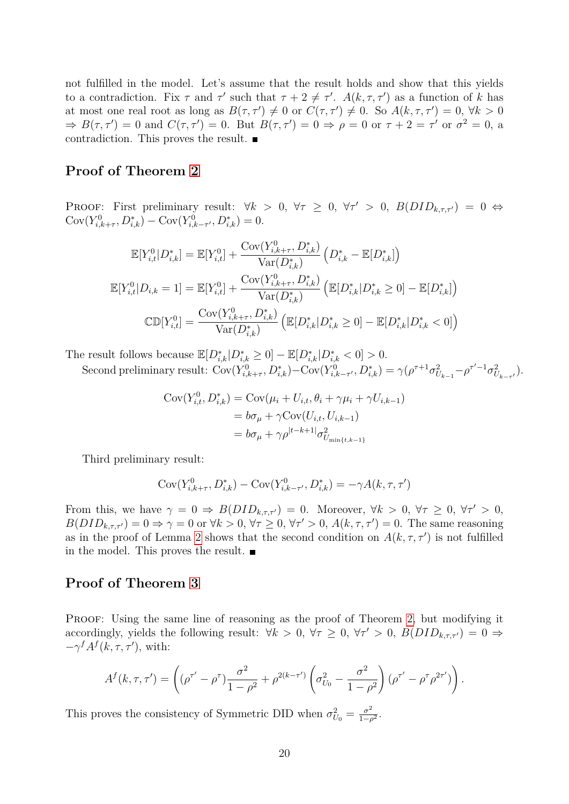not fulfilled in the model. Let's assume that the result holds and show that this yields to a contradiction. Fix  $\tau$  and  $\tau'$  such that  $\tau + 2 \neq \tau'$ .  $A(k, \tau, \tau')$  as a function of *k* has at most one real root as long as  $B(\tau, \tau') \neq 0$  or  $C(\tau, \tau') \neq 0$ . So  $A(k, \tau, \tau') = 0$ ,  $\forall k > 0$  $\Rightarrow B(\tau, \tau') = 0$  and  $C(\tau, \tau') = 0$ . But  $B(\tau, \tau') = 0 \Rightarrow \rho = 0$  or  $\tau + 2 = \tau'$  or  $\sigma^2 = 0$ , a contradiction. This proves the result.

### **Proof of Theorem [2](#page-9-0)**

PROOF: First preliminary result:  $\forall k > 0, \forall \tau \geq 0, \forall \tau' > 0, B(DID_{k,\tau,\tau'}) = 0 \Leftrightarrow$  $Cov(Y_{i,k+\tau}^0, D_{i,k}^*) - Cov(Y_{i,k-\tau'}^0, D_{i,k}^*) = 0.$ 

$$
\mathbb{E}[Y_{i,t}^{0}|D_{i,k}^{*}] = \mathbb{E}[Y_{i,t}^{0}] + \frac{\text{Cov}(Y_{i,k+\tau}^{0}, D_{i,k}^{*})}{\text{Var}(D_{i,k}^{*})} \left(D_{i,k}^{*} - \mathbb{E}[D_{i,k}^{*}]\right)
$$

$$
\mathbb{E}[Y_{i,t}^{0}|D_{i,k} = 1] = \mathbb{E}[Y_{i,t}^{0}] + \frac{\text{Cov}(Y_{i,k+\tau}^{0}, D_{i,k}^{*})}{\text{Var}(D_{i,k}^{*})} \left(\mathbb{E}[D_{i,k}^{*}|D_{i,k}^{*} \geq 0] - \mathbb{E}[D_{i,k}^{*}]\right)
$$

$$
\text{CD}[Y_{i,t}^{0}] = \frac{\text{Cov}(Y_{i,k+\tau}^{0}, D_{i,k}^{*})}{\text{Var}(D_{i,k}^{*})} \left(\mathbb{E}[D_{i,k}^{*}|D_{i,k}^{*} \geq 0] - \mathbb{E}[D_{i,k}^{*}|D_{i,k}^{*} < 0]\right)
$$

The result follows because  $\mathbb{E}[D_{i,k}^* | D_{i,k}^* \ge 0] - \mathbb{E}[D_{i,k}^* | D_{i,k}^* < 0] > 0$ .

Second preliminary result:  $Cov(Y_{i,k+\tau}^0, D_{i,k}^*) - Cov(Y_{i,k-\tau'}^0, D_{i,k}^*) = \gamma(\rho^{\tau+1}\sigma_{U_{k-1}}^2 - \rho^{\tau'-1}\sigma_{U_{k-\tau'}}^2).$ 

$$
Cov(Y_{i,t}^0, D_{i,k}^*) = Cov(\mu_i + U_{i,t}, \theta_i + \gamma \mu_i + \gamma U_{i,k-1})
$$
  
=  $b\sigma_\mu + \gamma Cov(U_{i,t}, U_{i,k-1})$   
=  $b\sigma_\mu + \gamma \rho^{|t-k+1|} \sigma_{U_{\min\{t,k-1\}}}^2$ 

Third preliminary result:

$$
Cov(Y_{i,k+\tau}^{0}, D_{i,k}^{*}) - Cov(Y_{i,k-\tau'}^{0}, D_{i,k}^{*}) = -\gamma A(k, \tau, \tau')
$$

From this, we have  $\gamma = 0 \Rightarrow B(DID_{k,\tau,\tau'}) = 0$ . Moreover,  $\forall k > 0, \forall \tau \geq 0, \forall \tau' > 0$ ,  $B(DID_{k,\tau,\tau'}) = 0 \Rightarrow \gamma = 0$  or  $\forall k > 0, \forall \tau \geq 0, \forall \tau' > 0, A(k,\tau,\tau') = 0$ . The same reasoning as in the proof of Lemma [2](#page-19-0) shows that the second condition on  $A(k, \tau, \tau')$  is not fulfilled in the model. This proves the result.  $\blacksquare$ 

### **Proof of Theorem [3](#page-12-1)**

PROOF: Using the same line of reasoning as the proof of Theorem [2,](#page-9-0) but modifying it accordingly, yields the following result:  $\forall k > 0, \forall \tau \geq 0, \forall \tau' > 0, B(DID_{k,\tau,\tau'}) = 0 \Rightarrow$  $-\gamma^f A^f(k,\tau,\tau')$ , with:

$$
A^{f}(k, \tau, \tau') = \left( (\rho^{\tau'} - \rho^{\tau}) \frac{\sigma^2}{1 - \rho^2} + \rho^{2(k - \tau')} \left( \sigma_{U_0}^2 - \frac{\sigma^2}{1 - \rho^2} \right) (\rho^{\tau'} - \rho^{\tau} \rho^{2\tau'}) \right).
$$

This proves the consistency of Symmetric DID when  $\sigma_{U_0}^2 = \frac{\sigma^2}{1-\mu}$  $\frac{\sigma^2}{1-\rho^2}$ .